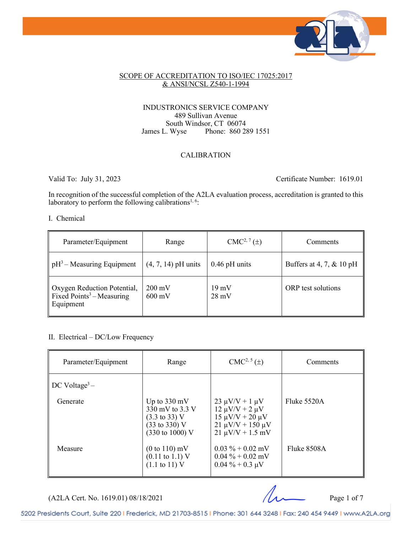

### SCOPE OF ACCREDITATION TO ISO/IEC 17025:2017 & ANSI/NCSL Z540-1-1994

### INDUSTRONICS SERVICE COMPANY 489 Sullivan Avenue South Windsor, CT 06074<br>James L. Wyse Phone: 860 28 Phone: 860 289 1551

# CALIBRATION

Valid To: July 31, 2023 Certificate Number: 1619.01

In recognition of the successful completion of the A2LA evaluation process, accreditation is granted to this laboratory to perform the following calibrations<sup>1, 6</sup>:

### I. Chemical

| Parameter/Equipment                                                               | Range                                | $CMC2, 7(\pm)$                     | Comments                 |
|-----------------------------------------------------------------------------------|--------------------------------------|------------------------------------|--------------------------|
| $pH3$ – Measuring Equipment                                                       | $(4, 7, 14)$ pH units                | $0.46$ pH units                    | Buffers at 4, 7, & 10 pH |
| Oxygen Reduction Potential,<br>Fixed Points <sup>3</sup> – Measuring<br>Equipment | $200 \text{ mV}$<br>$600 \text{ mV}$ | $19 \text{ mV}$<br>$28 \text{ mV}$ | ORP test solutions       |

### II. Electrical – DC/Low Frequency

| Parameter/Equipment       | Range                                                                                                                                | $CMC2, 5(\pm)$                                                                                                                     | Comments    |
|---------------------------|--------------------------------------------------------------------------------------------------------------------------------------|------------------------------------------------------------------------------------------------------------------------------------|-------------|
| DC Voltage <sup>3</sup> – |                                                                                                                                      |                                                                                                                                    |             |
| Generate                  | Up to $330 \text{ mV}$<br>330 mV to 3.3 V<br>$(3.3 \text{ to } 33) \text{ V}$<br>(33 to 330) V<br>$(330 \text{ to } 1000) \text{ V}$ | $23 \mu V/V + 1 \mu V$<br>$12 \mu V/V + 2 \mu V$<br>$15 \mu V/V + 20 \mu V$<br>$21 \mu V/V + 150 \mu V$<br>$21 \mu V/V + 1.5 \ mV$ | Fluke 5520A |
| Measure                   | $(0 to 110)$ mV<br>$(0.11 \text{ to } 1.1) \text{ V}$<br>$(1.1 \text{ to } 11) \text{ V}$                                            | $0.03\% + 0.02\,\mathrm{mV}$<br>$0.04\% + 0.02$ mV<br>$0.04\% + 0.3 \mu V$                                                         | Fluke 8508A |

 $(A2LA$  Cert. No. 1619.01) 08/18/2021 Page 1 of 7

5202 Presidents Court, Suite 220 | Frederick, MD 21703-8515 | Phone: 301 644 3248 | Fax: 240 454 9449 | www.A2LA.org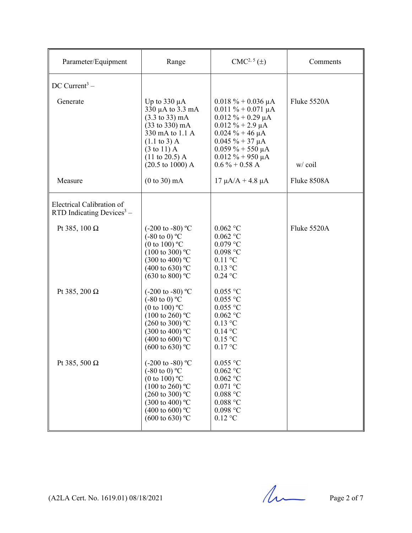| Parameter/Equipment                                      | Range                                                                                                                                                                                                                                            | $CMC2, 5(\pm)$                                                                                                                                                                                                                     | Comments              |
|----------------------------------------------------------|--------------------------------------------------------------------------------------------------------------------------------------------------------------------------------------------------------------------------------------------------|------------------------------------------------------------------------------------------------------------------------------------------------------------------------------------------------------------------------------------|-----------------------|
| DC Current <sup>3</sup> –                                |                                                                                                                                                                                                                                                  |                                                                                                                                                                                                                                    |                       |
| Generate                                                 | Up to $330 \mu A$<br>330 µA to 3.3 mA<br>$(3.3 \text{ to } 33) \text{ mA}$<br>(33 to 330) mA<br>330 mA to 1.1 A<br>$(1.1 \text{ to } 3)$ A<br>$(3 \text{ to } 11)$ A<br>$(11 \text{ to } 20.5) \text{ A}$<br>$(20.5 \text{ to } 1000) \text{ A}$ | $0.018 \% + 0.036 \mu A$<br>$0.011 \% + 0.071 \mu A$<br>$0.012 \% + 0.29 \mu A$<br>$0.012 \% + 2.9 \mu A$<br>$0.024 \% + 46 \mu A$<br>$0.045 \% + 37 \mu A$<br>$0.059\% + 550 \mu A$<br>$0.012 \% + 950 \mu A$<br>$0.6\% + 0.58$ A | Fluke 5520A<br>w/coil |
| Measure                                                  | $(0 to 30)$ mA                                                                                                                                                                                                                                   | $17 \mu A/A + 4.8 \mu A$                                                                                                                                                                                                           | Fluke 8508A           |
| Electrical Calibration of<br>RTD Indicating Devices $3-$ |                                                                                                                                                                                                                                                  |                                                                                                                                                                                                                                    |                       |
| Pt 385, 100 $\Omega$                                     | $(-200 \text{ to } -80)$ °C<br>$(-80 \text{ to } 0)$ °C<br>(0 to 100) $^{\circ}$ C<br>$(100 \text{ to } 300)$ °C<br>$(300 \text{ to } 400)$ °C<br>$(400 \text{ to } 630)$ °C<br>$(630 \text{ to } 800)$ °C                                       | $0.062\ ^{\circ}\textrm{C}$<br>$0.062\ ^{\circ}\textrm{C}$<br>$0.079$ °C<br>$0.098$ $^{\circ}$ C<br>$0.11$ °C<br>$0.13$ °C<br>$0.24$ °C                                                                                            | Fluke 5520A           |
| Pt 385, 200 $\Omega$                                     | $(-200 \text{ to } -80)$ °C<br>$(-80 \text{ to } 0)$ °C<br>(0 to 100) $^{\circ}$ C<br>$(100 \text{ to } 260)$ °C<br>$(260 \text{ to } 300)$ °C<br>$(300 \text{ to } 400)$ °C<br>(400 to 600) $^{\circ}$ C<br>$(600 \text{ to } 630)$ °C          | $0.055\ {\rm ^oC}$<br>$0.055$ °C<br>$0.055$ °C<br>$0.062$ °C<br>$0.13$ °C<br>$0.14$ °C<br>$0.15$ °C<br>0.17 °C                                                                                                                     |                       |
| Pt 385, 500 $\Omega$                                     | $(-200 \text{ to } -80)$ °C<br>$(-80 \text{ to } 0) \text{ °C}$<br>(0 to 100) $^{\circ}$ C<br>$(100 \text{ to } 260)$ °C<br>$(260 \text{ to } 300)$ °C<br>$(300 \text{ to } 400)$ °C<br>$(400 \text{ to } 600)$ °C<br>$(600 \text{ to } 630)$ °C | $0.055$ °C<br>$0.062$ °C<br>$0.062$ °C<br>$0.071$ °C<br>$0.088\ ^{\circ}\mathrm{C}$<br>$0.088\ ^{\circ}\mathrm{C}$<br>0.098 °C<br>$0.12\ ^\circ\rm{C}$                                                                             |                       |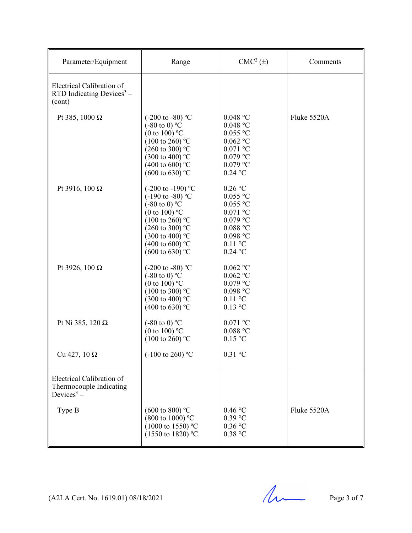| Parameter/Equipment                                                            | Range                                                                                                                                                                                                                                                                    | $CMC2(\pm)$                                                                                                                                            | Comments    |
|--------------------------------------------------------------------------------|--------------------------------------------------------------------------------------------------------------------------------------------------------------------------------------------------------------------------------------------------------------------------|--------------------------------------------------------------------------------------------------------------------------------------------------------|-------------|
| Electrical Calibration of<br>RTD Indicating Devices $3 -$<br>(cont)            |                                                                                                                                                                                                                                                                          |                                                                                                                                                        |             |
| Pt 385, 1000 $\Omega$                                                          | $(-200 \text{ to } -80)$ °C<br>$(-80 \text{ to } 0)$ °C<br>(0 to 100) $^{\circ}$ C<br>$(100 \text{ to } 260)$ °C<br>$(260 \text{ to } 300)$ °C<br>$(300 \text{ to } 400)$ °C<br>(400 to 600) °C<br>$(600 \text{ to } 630)$ °C                                            | $0.048$ °C<br>$0.048$ °C<br>$0.055$ °C<br>$0.062$ °C<br>$0.071$ °C<br>$0.079$ °C<br>$0.079$ °C<br>$0.24$ °C                                            | Fluke 5520A |
| Pt 3916, 100 $\Omega$                                                          | $(-200 \text{ to } -190)$ °C<br>$(-190 \text{ to } -80)$ °C<br>$(-80 \text{ to } 0)$ °C<br>(0 to 100) $^{\circ}$ C<br>$(100 \text{ to } 260)$ °C<br>$(260 \text{ to } 300)$ °C<br>$(300 \text{ to } 400)$ °C<br>$(400 \text{ to } 600)$ °C<br>$(600 \text{ to } 630)$ °C | $0.26\ ^{\circ}\mathrm{C}$<br>$0.055$ °C<br>$0.055$ °C<br>$0.071~^\circ\mathrm{C}$<br>$0.079$ °C<br>$0.088$ °C<br>$0.098$ °C<br>$0.11$ °C<br>$0.24$ °C |             |
| Pt 3926, 100 $\Omega$                                                          | $(-200 \text{ to } -80)$ °C<br>$(-80 \text{ to } 0)$ °C<br>(0 to 100) $^{\circ}$ C<br>$(100 \text{ to } 300)$ °C<br>$(300 \text{ to } 400)$ °C<br>(400 to 630) °C                                                                                                        | $0.062\ ^{\circ}\textrm{C}$<br>$0.062$ °C<br>$0.079$ °C<br>$0.098$ °C<br>$0.11$ °C<br>$0.13$ °C                                                        |             |
| Pt Ni 385, 120 $\Omega$                                                        | $(-80 \text{ to } 0)$ °C<br>(0 to 100) $^{\circ}$ C<br>$(100 \text{ to } 260)$ °C                                                                                                                                                                                        | $0.071$ °C<br>$0.088$ °C<br>$0.15$ °C                                                                                                                  |             |
| Cu 427, $10 \Omega$                                                            | $(-100 \text{ to } 260)$ °C                                                                                                                                                                                                                                              | $0.31$ °C                                                                                                                                              |             |
| Electrical Calibration of<br>Thermocouple Indicating<br>Devices <sup>3</sup> – |                                                                                                                                                                                                                                                                          |                                                                                                                                                        |             |
| Type B                                                                         | $(600 \text{ to } 800)$ °C<br>(800 to 1000) °C<br>$(1000 \text{ to } 1550)$ °C<br>$(1550 \text{ to } 1820)$ °C                                                                                                                                                           | 0.46 °C<br>$0.39$ °C<br>$0.36$ °C<br>0.38 °C                                                                                                           | Fluke 5520A |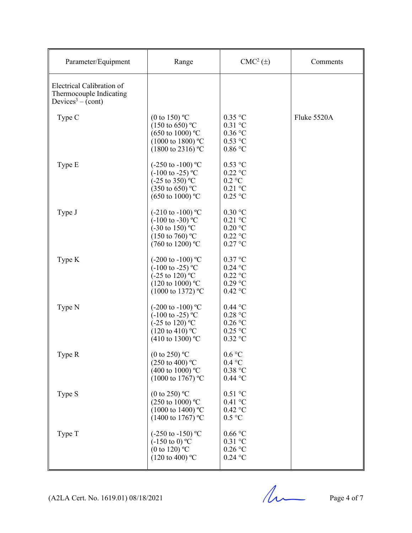| Parameter/Equipment                                                                   | Range                                                                                                                                                            | $CMC2(\pm)$                                                                  | Comments    |
|---------------------------------------------------------------------------------------|------------------------------------------------------------------------------------------------------------------------------------------------------------------|------------------------------------------------------------------------------|-------------|
| Electrical Calibration of<br>Thermocouple Indicating<br>Devices <sup>3</sup> – (cont) |                                                                                                                                                                  |                                                                              |             |
| Type C                                                                                | (0 to 150) $^{\circ}$ C<br>$(150 \text{ to } 650)$ °C<br>$(650 \text{ to } 1000)$ °C<br>$(1000 \text{ to } 1800)$ °C<br>$(1800 \text{ to } 2316) \text{ °C}$     | $0.35$ °C<br>$0.31$ °C<br>$0.36$ °C<br>$0.53$ °C<br>$0.86$ °C                | Fluke 5520A |
| Type E                                                                                | $(-250 \text{ to } -100) \text{ °C}$<br>$(-100 \text{ to } -25)$ °C<br>$(-25 \text{ to } 350)$ °C<br>$(350 \text{ to } 650)$ °C<br>$(650 \text{ to } 1000)$ °C   | $0.53$ °C<br>$0.22$ °C<br>$0.2 \text{ °C}$<br>$0.21$ °C<br>$0.25$ °C         |             |
| Type J                                                                                | $(-210 \text{ to } -100)$ °C<br>$(-100 \text{ to } -30)$ °C<br>$(-30 \text{ to } 150)$ °C<br>$(150 \text{ to } 760)$ °C<br>$(760 \text{ to } 1200)$ °C           | 0.30 °C<br>$0.21$ °C<br>$0.20$ °C<br>$0.22$ °C<br>$0.27$ °C                  |             |
| Type K                                                                                | $(-200 \text{ to } -100) \text{ °C}$<br>$(-100 \text{ to } -25)$ °C<br>$(-25 \text{ to } 120)$ °C<br>$(120 \text{ to } 1000)$ °C<br>$(1000 \text{ to } 1372)$ °C | $0.37$ °C<br>$0.24$ °C<br>$0.22$ °C<br>$0.29$ °C<br>$0.42$ °C                |             |
| Type N                                                                                | $(-200 \text{ to } -100) \text{ °C}$<br>$(-100 \text{ to } -25)$ °C<br>$(-25 \text{ to } 120)$ °C<br>$(120 \text{ to } 410)$ °C<br>(410 to 1300) °C              | $0.44$ °C<br>0.28 °C<br>$0.26$ °C<br>$0.25$ °C<br>$0.32$ °C                  |             |
| Type R                                                                                | (0 to 250) $^{\circ}$ C<br>$(250 \text{ to } 400)$ °C<br>(400 to 1000) °C<br>$(1000 \text{ to } 1767)$ °C                                                        | 0.6 °C<br>0.4 °C<br>0.38 °C<br>$0.44$ °C                                     |             |
| Type S                                                                                | (0 to 250) $^{\circ}$ C<br>$(250 \text{ to } 1000)$ °C<br>$(1000 \text{ to } 1400)$ °C<br>$(1400 \text{ to } 1767)$ °C                                           | $0.51$ °C<br>$0.41\ ^{\circ}\textrm{C}$<br>$0.42$ °C<br>0.5 °C               |             |
| Type T                                                                                | $(-250 \text{ to } -150) \text{ °C}$<br>$(-150 \text{ to } 0)$ °C<br>(0 to 120) $^{\circ}$ C<br>$(120 \text{ to } 400)$ °C                                       | $0.66\,^{\circ}\mathrm{C}$<br>$0.31$ °C<br>$0.26$ °C<br>$0.24\ ^\circ\rm{C}$ |             |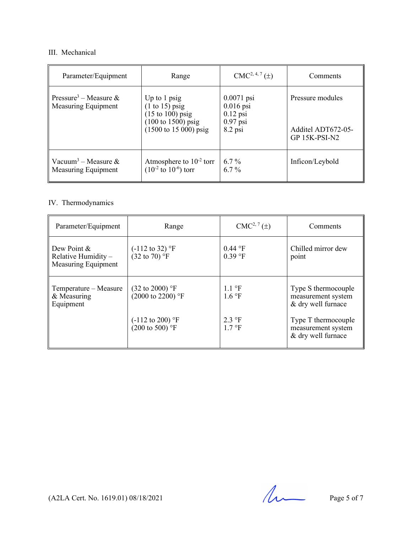# III. Mechanical

| Parameter/Equipment                                      | Range                                                                                                                                                            | $CMC2, 4, 7(\pm)$                                                    | Comments                                                |
|----------------------------------------------------------|------------------------------------------------------------------------------------------------------------------------------------------------------------------|----------------------------------------------------------------------|---------------------------------------------------------|
| Pressure <sup>3</sup> – Measure &<br>Measuring Equipment | Up to $1$ psig<br>$(1 \text{ to } 15)$ psig<br>$(15 \text{ to } 100)$ psig<br>$(100 \text{ to } 1500) \text{ psig}$<br>$(1500 \text{ to } 15\,000) \text{ psig}$ | $0.0071$ psi<br>$0.016$ psi<br>$0.12$ psi<br>$0.97$ psi<br>$8.2$ psi | Pressure modules<br>Additel ADT672-05-<br>GP 15K-PSI-N2 |
| Vacuum <sup>3</sup> – Measure &<br>Measuring Equipment   | Atmosphere to $10^{-2}$ torr<br>$(10^{-2} \text{ to } 10^{-6})$ torr                                                                                             | $6.7\%$<br>$6.7\%$                                                   | Inficon/Leybold                                         |

# IV. Thermodynamics

| Parameter/Equipment                                         | Range                                                      | $CMC2, 7(\pm)$                                     | Comments                                                        |
|-------------------------------------------------------------|------------------------------------------------------------|----------------------------------------------------|-----------------------------------------------------------------|
| Dew Point &<br>Relative Humidity $-$<br>Measuring Equipment | $(-112 \text{ to } 32)$ °F<br>$(32 \text{ to } 70)$ °F     | 0.44 °F<br>$0.39$ °F                               | Chilled mirror dew<br>point                                     |
| Temperature – Measure<br>& Measuring<br>Equipment           | $(32 \text{ to } 2000)$ °F<br>$(2000 \text{ to } 2200)$ °F | $1.1 \text{ }^{\circ}F$<br>$1.6 \text{ }^{\circ}F$ | Type S thermocouple<br>measurement system<br>& dry well furnace |
|                                                             | $(-112 \text{ to } 200)$ °F<br>$(200 \text{ to } 500)$ °F  | $2.3 \text{ }^{\circ}F$<br>$1.7 \text{ }^{\circ}F$ | Type T thermocouple<br>measurement system<br>& dry well furnace |

 $(A2LA$  Cert. No. 1619.01) 08/18/2021 Page 5 of 7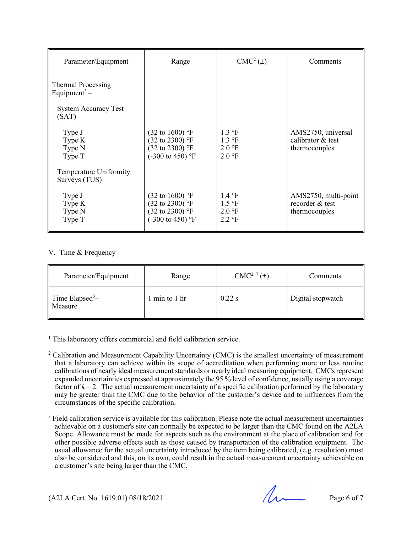| Parameter/Equipment                            | Range                                                                                                                 | $CMC2(\pm)$                                                                                              | Comments                                                 |
|------------------------------------------------|-----------------------------------------------------------------------------------------------------------------------|----------------------------------------------------------------------------------------------------------|----------------------------------------------------------|
| Thermal Processing<br>Equipment <sup>3</sup> – |                                                                                                                       |                                                                                                          |                                                          |
| <b>System Accuracy Test</b><br>(SAT)           |                                                                                                                       |                                                                                                          |                                                          |
| Type J<br>Type K<br>Type N<br>Type T           | $(32 \text{ to } 1600)$ °F<br>$(32 \text{ to } 2300)$ °F<br>$(32 \text{ to } 2300)$ °F<br>$(-300 \text{ to } 450)$ °F | $1.3 \text{ }^{\circ}F$<br>$1.3 \text{ }^{\circ}F$<br>$2.0 \text{ }^{\circ}F$<br>$2.0 \text{ }^{\circ}F$ | AMS2750, universal<br>calibrator & test<br>thermocouples |
| Temperature Uniformity<br>Surveys (TUS)        |                                                                                                                       |                                                                                                          |                                                          |
| Type J<br>Type K<br>Type N<br>Type T           | $(32 \text{ to } 1600)$ °F<br>$(32 \text{ to } 2300)$ °F<br>$(32 \text{ to } 2300)$ °F<br>$(-300 \text{ to } 450)$ °F | $1.4 \text{ }^{\circ}F$<br>$1.5 \text{ }^{\circ}F$<br>$2.0 \text{ }^{\circ}F$<br>$2.2 \text{ }^{\circ}F$ | AMS2750, multi-point<br>recorder & test<br>thermocouples |

## V. Time & Frequency

| Parameter/Equipment                    | Range         | $CMC2, 7(\pm)$ | Comments          |
|----------------------------------------|---------------|----------------|-------------------|
| Time Elapsed <sup>3</sup> -<br>Measure | 1 min to 1 hr | $0.22$ s       | Digital stopwatch |

<sup>1</sup> This laboratory offers commercial and field calibration service.

- <sup>2</sup> Calibration and Measurement Capability Uncertainty (CMC) is the smallest uncertainty of measurement that a laboratory can achieve within its scope of accreditation when performing more or less routine calibrations of nearly ideal measurement standards or nearly ideal measuring equipment. CMCs represent expanded uncertainties expressed at approximately the 95 % level of confidence, usually using a coverage factor of  $k = 2$ . The actual measurement uncertainty of a specific calibration performed by the laboratory may be greater than the CMC due to the behavior of the customer's device and to influences from the circumstances of the specific calibration.
- <sup>3</sup> Field calibration service is available for this calibration. Please note the actual measurement uncertainties achievable on a customer's site can normally be expected to be larger than the CMC found on the A2LA Scope. Allowance must be made for aspects such as the environment at the place of calibration and for other possible adverse effects such as those caused by transportation of the calibration equipment. The usual allowance for the actual uncertainty introduced by the item being calibrated, (e.g. resolution) must also be considered and this, on its own, could result in the actual measurement uncertainty achievable on a customer's site being larger than the CMC.

(A2LA Cert. No. 1619.01) 08/18/2021 Page 6 of 7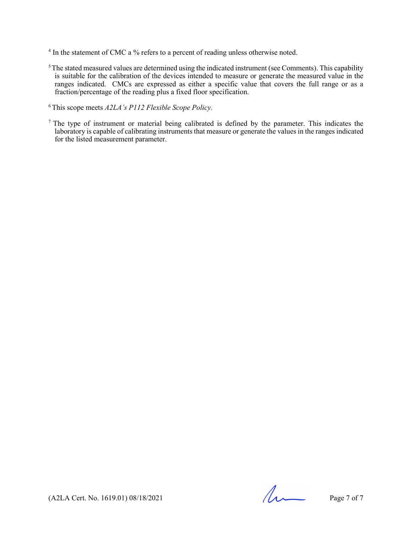- <sup>4</sup> In the statement of CMC a % refers to a percent of reading unless otherwise noted.
- $5$ The stated measured values are determined using the indicated instrument (see Comments). This capability is suitable for the calibration of the devices intended to measure or generate the measured value in the ranges indicated. CMCs are expressed as either a specific value that covers the full range or as a fraction/percentage of the reading plus a fixed floor specification.
- 6 This scope meets *A2LA's P112 Flexible Scope Policy.*
- <sup>7</sup> The type of instrument or material being calibrated is defined by the parameter. This indicates the laboratory is capable of calibrating instruments that measure or generate the values in the ranges indicated for the listed measurement parameter.

(A2LA Cert. No. 1619.01) 08/18/2021 Page 7 of 7